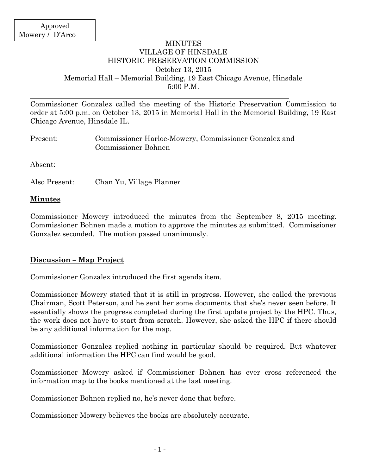### MINUTES VILLAGE OF HINSDALE HISTORIC PRESERVATION COMMISSION October 13, 2015 Memorial Hall – Memorial Building, 19 East Chicago Avenue, Hinsdale 5:00 P.M.

Commissioner Gonzalez called the meeting of the Historic Preservation Commission to order at 5:00 p.m. on October 13, 2015 in Memorial Hall in the Memorial Building, 19 East Chicago Avenue, Hinsdale IL.

| Present: | Commissioner Harloe-Mowery, Commissioner Gonzalez and<br>Commissioner Bohnen |
|----------|------------------------------------------------------------------------------|
| Absent:  |                                                                              |

Also Present: Chan Yu, Village Planner

### **Minutes**

Commissioner Mowery introduced the minutes from the September 8, 2015 meeting. Commissioner Bohnen made a motion to approve the minutes as submitted. Commissioner Gonzalez seconded. The motion passed unanimously.

## **Discussion – Map Project**

Commissioner Gonzalez introduced the first agenda item.

Commissioner Mowery stated that it is still in progress. However, she called the previous Chairman, Scott Peterson, and he sent her some documents that she's never seen before. It essentially shows the progress completed during the first update project by the HPC. Thus, the work does not have to start from scratch. However, she asked the HPC if there should be any additional information for the map.

Commissioner Gonzalez replied nothing in particular should be required. But whatever additional information the HPC can find would be good.

Commissioner Mowery asked if Commissioner Bohnen has ever cross referenced the information map to the books mentioned at the last meeting.

Commissioner Bohnen replied no, he's never done that before.

Commissioner Mowery believes the books are absolutely accurate.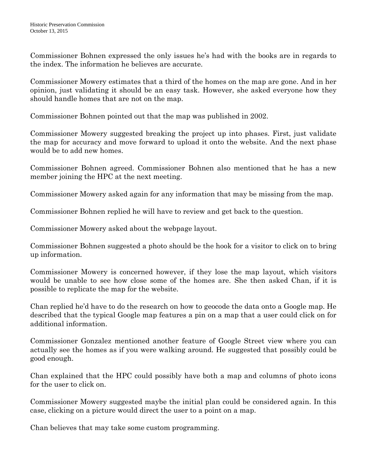Commissioner Bohnen expressed the only issues he's had with the books are in regards to the index. The information he believes are accurate.

Commissioner Mowery estimates that a third of the homes on the map are gone. And in her opinion, just validating it should be an easy task. However, she asked everyone how they should handle homes that are not on the map.

Commissioner Bohnen pointed out that the map was published in 2002.

Commissioner Mowery suggested breaking the project up into phases. First, just validate the map for accuracy and move forward to upload it onto the website. And the next phase would be to add new homes.

Commissioner Bohnen agreed. Commissioner Bohnen also mentioned that he has a new member joining the HPC at the next meeting.

Commissioner Mowery asked again for any information that may be missing from the map.

Commissioner Bohnen replied he will have to review and get back to the question.

Commissioner Mowery asked about the webpage layout.

Commissioner Bohnen suggested a photo should be the hook for a visitor to click on to bring up information.

Commissioner Mowery is concerned however, if they lose the map layout, which visitors would be unable to see how close some of the homes are. She then asked Chan, if it is possible to replicate the map for the website.

Chan replied he'd have to do the research on how to geocode the data onto a Google map. He described that the typical Google map features a pin on a map that a user could click on for additional information.

Commissioner Gonzalez mentioned another feature of Google Street view where you can actually see the homes as if you were walking around. He suggested that possibly could be good enough.

Chan explained that the HPC could possibly have both a map and columns of photo icons for the user to click on.

Commissioner Mowery suggested maybe the initial plan could be considered again. In this case, clicking on a picture would direct the user to a point on a map.

Chan believes that may take some custom programming.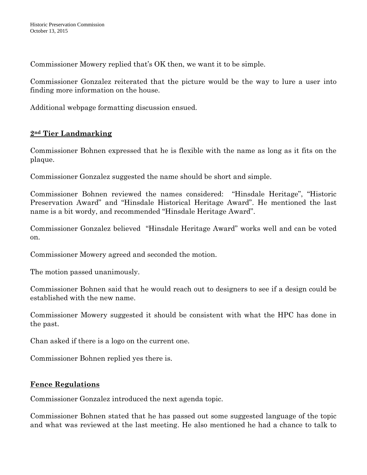Commissioner Mowery replied that's OK then, we want it to be simple.

Commissioner Gonzalez reiterated that the picture would be the way to lure a user into finding more information on the house.

Additional webpage formatting discussion ensued.

# **2nd Tier Landmarking**

Commissioner Bohnen expressed that he is flexible with the name as long as it fits on the plaque.

Commissioner Gonzalez suggested the name should be short and simple.

Commissioner Bohnen reviewed the names considered: "Hinsdale Heritage", "Historic Preservation Award" and "Hinsdale Historical Heritage Award". He mentioned the last name is a bit wordy, and recommended "Hinsdale Heritage Award".

Commissioner Gonzalez believed "Hinsdale Heritage Award" works well and can be voted on.

Commissioner Mowery agreed and seconded the motion.

The motion passed unanimously.

Commissioner Bohnen said that he would reach out to designers to see if a design could be established with the new name.

Commissioner Mowery suggested it should be consistent with what the HPC has done in the past.

Chan asked if there is a logo on the current one.

Commissioner Bohnen replied yes there is.

# **Fence Regulations**

Commissioner Gonzalez introduced the next agenda topic.

Commissioner Bohnen stated that he has passed out some suggested language of the topic and what was reviewed at the last meeting. He also mentioned he had a chance to talk to